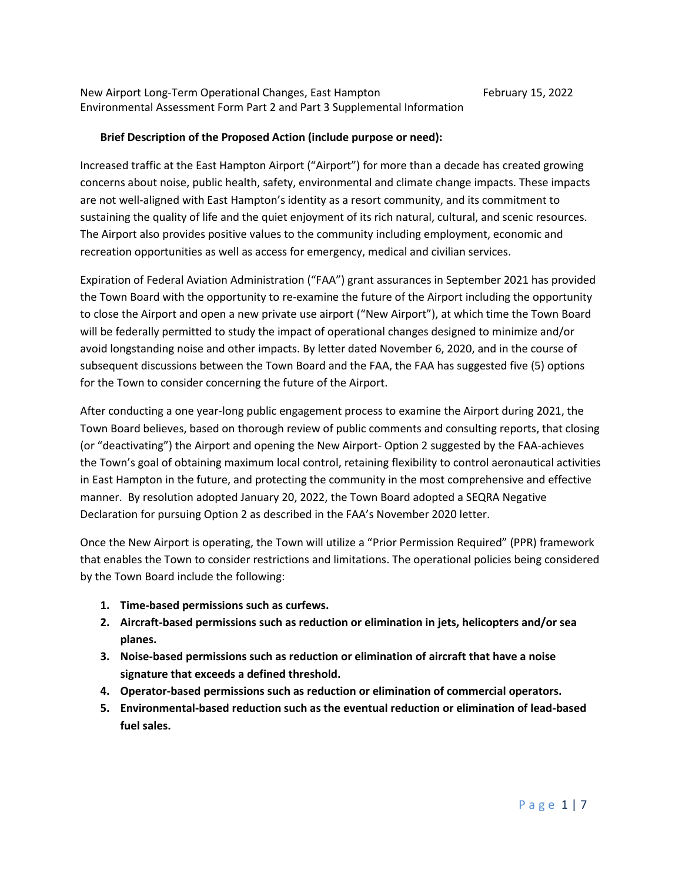## **Brief Description of the Proposed Action (include purpose or need):**

Increased traffic at the East Hampton Airport ("Airport") for more than a decade has created growing concerns about noise, public health, safety, environmental and climate change impacts. These impacts are not well-aligned with East Hampton's identity as a resort community, and its commitment to sustaining the quality of life and the quiet enjoyment of its rich natural, cultural, and scenic resources. The Airport also provides positive values to the community including employment, economic and recreation opportunities as well as access for emergency, medical and civilian services.

Expiration of Federal Aviation Administration ("FAA") grant assurances in September 2021 has provided the Town Board with the opportunity to re-examine the future of the Airport including the opportunity to close the Airport and open a new private use airport ("New Airport"), at which time the Town Board will be federally permitted to study the impact of operational changes designed to minimize and/or avoid longstanding noise and other impacts. By letter dated November 6, 2020, and in the course of subsequent discussions between the Town Board and the FAA, the FAA has suggested five (5) options for the Town to consider concerning the future of the Airport.

After conducting a one year-long public engagement process to examine the Airport during 2021, the Town Board believes, based on thorough review of public comments and consulting reports, that closing (or "deactivating") the Airport and opening the New Airport- Option 2 suggested by the FAA-achieves the Town's goal of obtaining maximum local control, retaining flexibility to control aeronautical activities in East Hampton in the future, and protecting the community in the most comprehensive and effective manner. By resolution adopted January 20, 2022, the Town Board adopted a SEQRA Negative Declaration for pursuing Option 2 as described in the FAA's November 2020 letter.

Once the New Airport is operating, the Town will utilize a "Prior Permission Required" (PPR) framework that enables the Town to consider restrictions and limitations. The operational policies being considered by the Town Board include the following:

- **1. Time-based permissions such as curfews.**
- **2. Aircraft-based permissions such as reduction or elimination in jets, helicopters and/or sea planes.**
- **3. Noise-based permissions such as reduction or elimination of aircraft that have a noise signature that exceeds a defined threshold.**
- **4. Operator-based permissions such as reduction or elimination of commercial operators.**
- **5. Environmental-based reduction such as the eventual reduction or elimination of lead-based fuel sales.**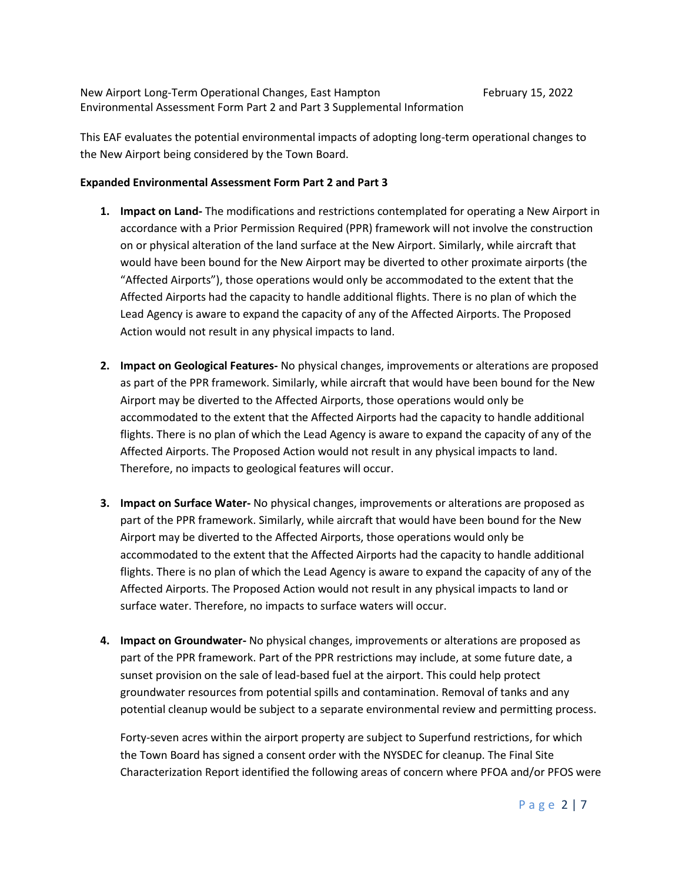This EAF evaluates the potential environmental impacts of adopting long-term operational changes to the New Airport being considered by the Town Board.

## **Expanded Environmental Assessment Form Part 2 and Part 3**

- **1. Impact on Land-** The modifications and restrictions contemplated for operating a New Airport in accordance with a Prior Permission Required (PPR) framework will not involve the construction on or physical alteration of the land surface at the New Airport. Similarly, while aircraft that would have been bound for the New Airport may be diverted to other proximate airports (the "Affected Airports"), those operations would only be accommodated to the extent that the Affected Airports had the capacity to handle additional flights. There is no plan of which the Lead Agency is aware to expand the capacity of any of the Affected Airports. The Proposed Action would not result in any physical impacts to land.
- **2. Impact on Geological Features-** No physical changes, improvements or alterations are proposed as part of the PPR framework. Similarly, while aircraft that would have been bound for the New Airport may be diverted to the Affected Airports, those operations would only be accommodated to the extent that the Affected Airports had the capacity to handle additional flights. There is no plan of which the Lead Agency is aware to expand the capacity of any of the Affected Airports. The Proposed Action would not result in any physical impacts to land. Therefore, no impacts to geological features will occur.
- **3. Impact on Surface Water-** No physical changes, improvements or alterations are proposed as part of the PPR framework. Similarly, while aircraft that would have been bound for the New Airport may be diverted to the Affected Airports, those operations would only be accommodated to the extent that the Affected Airports had the capacity to handle additional flights. There is no plan of which the Lead Agency is aware to expand the capacity of any of the Affected Airports. The Proposed Action would not result in any physical impacts to land or surface water. Therefore, no impacts to surface waters will occur.
- **4. Impact on Groundwater-** No physical changes, improvements or alterations are proposed as part of the PPR framework. Part of the PPR restrictions may include, at some future date, a sunset provision on the sale of lead-based fuel at the airport. This could help protect groundwater resources from potential spills and contamination. Removal of tanks and any potential cleanup would be subject to a separate environmental review and permitting process.

Forty-seven acres within the airport property are subject to Superfund restrictions, for which the Town Board has signed a consent order with the NYSDEC for cleanup. The Final Site Characterization Report identified the following areas of concern where PFOA and/or PFOS were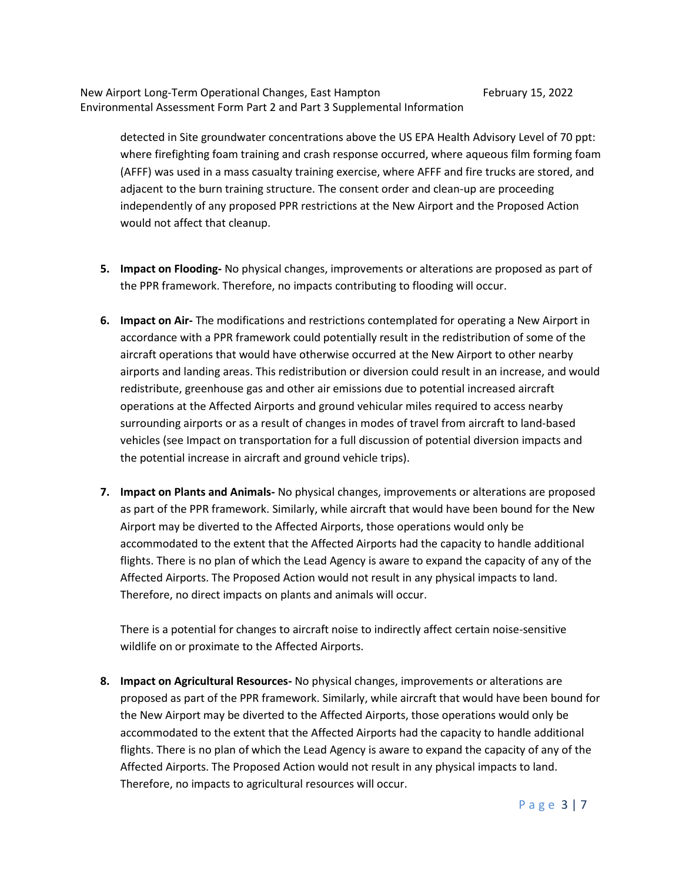detected in Site groundwater concentrations above the US EPA Health Advisory Level of 70 ppt: where firefighting foam training and crash response occurred, where aqueous film forming foam (AFFF) was used in a mass casualty training exercise, where AFFF and fire trucks are stored, and adjacent to the burn training structure. The consent order and clean-up are proceeding independently of any proposed PPR restrictions at the New Airport and the Proposed Action would not affect that cleanup.

- **5. Impact on Flooding-** No physical changes, improvements or alterations are proposed as part of the PPR framework. Therefore, no impacts contributing to flooding will occur.
- **6. Impact on Air-** The modifications and restrictions contemplated for operating a New Airport in accordance with a PPR framework could potentially result in the redistribution of some of the aircraft operations that would have otherwise occurred at the New Airport to other nearby airports and landing areas. This redistribution or diversion could result in an increase, and would redistribute, greenhouse gas and other air emissions due to potential increased aircraft operations at the Affected Airports and ground vehicular miles required to access nearby surrounding airports or as a result of changes in modes of travel from aircraft to land-based vehicles (see Impact on transportation for a full discussion of potential diversion impacts and the potential increase in aircraft and ground vehicle trips).
- **7. Impact on Plants and Animals-** No physical changes, improvements or alterations are proposed as part of the PPR framework. Similarly, while aircraft that would have been bound for the New Airport may be diverted to the Affected Airports, those operations would only be accommodated to the extent that the Affected Airports had the capacity to handle additional flights. There is no plan of which the Lead Agency is aware to expand the capacity of any of the Affected Airports. The Proposed Action would not result in any physical impacts to land. Therefore, no direct impacts on plants and animals will occur.

There is a potential for changes to aircraft noise to indirectly affect certain noise-sensitive wildlife on or proximate to the Affected Airports.

**8. Impact on Agricultural Resources-** No physical changes, improvements or alterations are proposed as part of the PPR framework. Similarly, while aircraft that would have been bound for the New Airport may be diverted to the Affected Airports, those operations would only be accommodated to the extent that the Affected Airports had the capacity to handle additional flights. There is no plan of which the Lead Agency is aware to expand the capacity of any of the Affected Airports. The Proposed Action would not result in any physical impacts to land. Therefore, no impacts to agricultural resources will occur.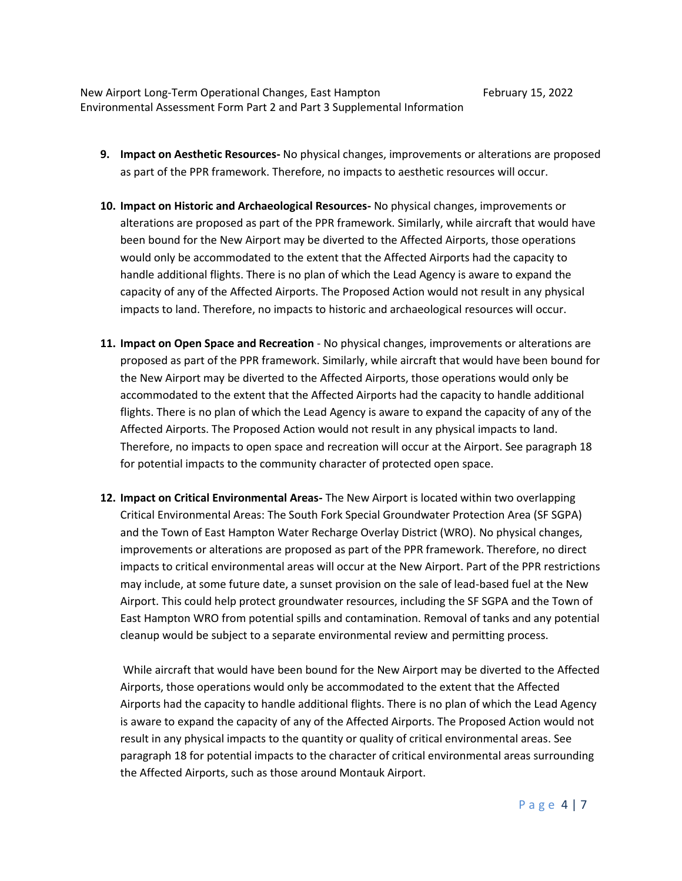- **9. Impact on Aesthetic Resources-** No physical changes, improvements or alterations are proposed as part of the PPR framework. Therefore, no impacts to aesthetic resources will occur.
- **10. Impact on Historic and Archaeological Resources-** No physical changes, improvements or alterations are proposed as part of the PPR framework. Similarly, while aircraft that would have been bound for the New Airport may be diverted to the Affected Airports, those operations would only be accommodated to the extent that the Affected Airports had the capacity to handle additional flights. There is no plan of which the Lead Agency is aware to expand the capacity of any of the Affected Airports. The Proposed Action would not result in any physical impacts to land. Therefore, no impacts to historic and archaeological resources will occur.
- **11. Impact on Open Space and Recreation** No physical changes, improvements or alterations are proposed as part of the PPR framework. Similarly, while aircraft that would have been bound for the New Airport may be diverted to the Affected Airports, those operations would only be accommodated to the extent that the Affected Airports had the capacity to handle additional flights. There is no plan of which the Lead Agency is aware to expand the capacity of any of the Affected Airports. The Proposed Action would not result in any physical impacts to land. Therefore, no impacts to open space and recreation will occur at the Airport. See paragraph 18 for potential impacts to the community character of protected open space.
- **12. Impact on Critical Environmental Areas-** The New Airport is located within two overlapping Critical Environmental Areas: The South Fork Special Groundwater Protection Area (SF SGPA) and the Town of East Hampton Water Recharge Overlay District (WRO). No physical changes, improvements or alterations are proposed as part of the PPR framework. Therefore, no direct impacts to critical environmental areas will occur at the New Airport. Part of the PPR restrictions may include, at some future date, a sunset provision on the sale of lead-based fuel at the New Airport. This could help protect groundwater resources, including the SF SGPA and the Town of East Hampton WRO from potential spills and contamination. Removal of tanks and any potential cleanup would be subject to a separate environmental review and permitting process.

While aircraft that would have been bound for the New Airport may be diverted to the Affected Airports, those operations would only be accommodated to the extent that the Affected Airports had the capacity to handle additional flights. There is no plan of which the Lead Agency is aware to expand the capacity of any of the Affected Airports. The Proposed Action would not result in any physical impacts to the quantity or quality of critical environmental areas. See paragraph 18 for potential impacts to the character of critical environmental areas surrounding the Affected Airports, such as those around Montauk Airport.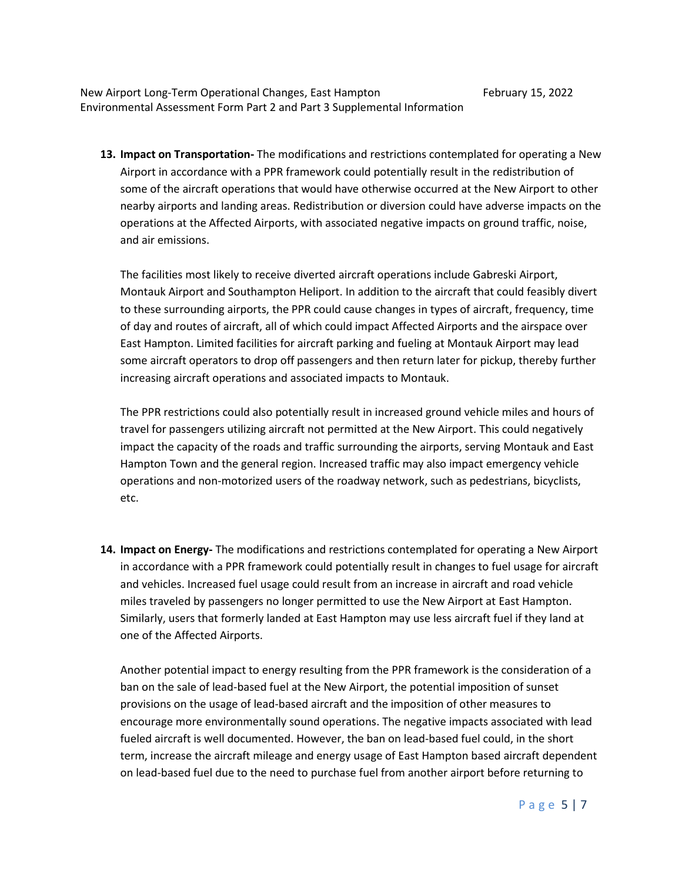**13. Impact on Transportation-** The modifications and restrictions contemplated for operating a New Airport in accordance with a PPR framework could potentially result in the redistribution of some of the aircraft operations that would have otherwise occurred at the New Airport to other nearby airports and landing areas. Redistribution or diversion could have adverse impacts on the operations at the Affected Airports, with associated negative impacts on ground traffic, noise, and air emissions.

The facilities most likely to receive diverted aircraft operations include Gabreski Airport, Montauk Airport and Southampton Heliport. In addition to the aircraft that could feasibly divert to these surrounding airports, the PPR could cause changes in types of aircraft, frequency, time of day and routes of aircraft, all of which could impact Affected Airports and the airspace over East Hampton. Limited facilities for aircraft parking and fueling at Montauk Airport may lead some aircraft operators to drop off passengers and then return later for pickup, thereby further increasing aircraft operations and associated impacts to Montauk.

The PPR restrictions could also potentially result in increased ground vehicle miles and hours of travel for passengers utilizing aircraft not permitted at the New Airport. This could negatively impact the capacity of the roads and traffic surrounding the airports, serving Montauk and East Hampton Town and the general region. Increased traffic may also impact emergency vehicle operations and non-motorized users of the roadway network, such as pedestrians, bicyclists, etc.

**14. Impact on Energy-** The modifications and restrictions contemplated for operating a New Airport in accordance with a PPR framework could potentially result in changes to fuel usage for aircraft and vehicles. Increased fuel usage could result from an increase in aircraft and road vehicle miles traveled by passengers no longer permitted to use the New Airport at East Hampton. Similarly, users that formerly landed at East Hampton may use less aircraft fuel if they land at one of the Affected Airports.

Another potential impact to energy resulting from the PPR framework is the consideration of a ban on the sale of lead-based fuel at the New Airport, the potential imposition of sunset provisions on the usage of lead-based aircraft and the imposition of other measures to encourage more environmentally sound operations. The negative impacts associated with lead fueled aircraft is well documented. However, the ban on lead-based fuel could, in the short term, increase the aircraft mileage and energy usage of East Hampton based aircraft dependent on lead-based fuel due to the need to purchase fuel from another airport before returning to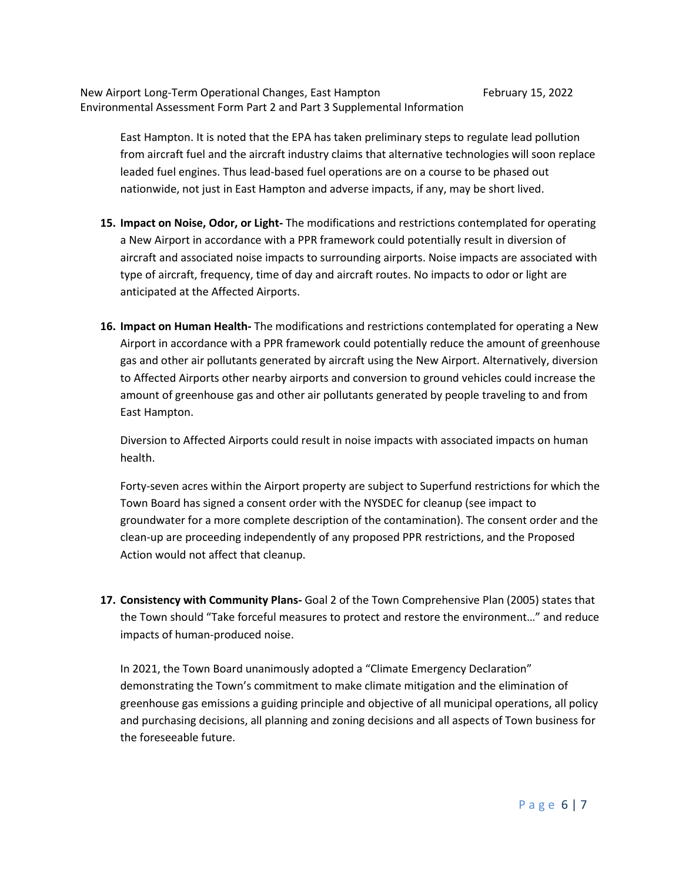East Hampton. It is noted that the EPA has taken preliminary steps to regulate lead pollution from aircraft fuel and the aircraft industry claims that alternative technologies will soon replace leaded fuel engines. Thus lead-based fuel operations are on a course to be phased out nationwide, not just in East Hampton and adverse impacts, if any, may be short lived.

- **15. Impact on Noise, Odor, or Light-** The modifications and restrictions contemplated for operating a New Airport in accordance with a PPR framework could potentially result in diversion of aircraft and associated noise impacts to surrounding airports. Noise impacts are associated with type of aircraft, frequency, time of day and aircraft routes. No impacts to odor or light are anticipated at the Affected Airports.
- **16. Impact on Human Health-** The modifications and restrictions contemplated for operating a New Airport in accordance with a PPR framework could potentially reduce the amount of greenhouse gas and other air pollutants generated by aircraft using the New Airport. Alternatively, diversion to Affected Airports other nearby airports and conversion to ground vehicles could increase the amount of greenhouse gas and other air pollutants generated by people traveling to and from East Hampton.

Diversion to Affected Airports could result in noise impacts with associated impacts on human health.

Forty-seven acres within the Airport property are subject to Superfund restrictions for which the Town Board has signed a consent order with the NYSDEC for cleanup (see impact to groundwater for a more complete description of the contamination). The consent order and the clean-up are proceeding independently of any proposed PPR restrictions, and the Proposed Action would not affect that cleanup.

**17. Consistency with Community Plans-** Goal 2 of the Town Comprehensive Plan (2005) states that the Town should "Take forceful measures to protect and restore the environment…" and reduce impacts of human-produced noise.

In 2021, the Town Board unanimously adopted a "Climate Emergency Declaration" demonstrating the Town's commitment to make climate mitigation and the elimination of greenhouse gas emissions a guiding principle and objective of all municipal operations, all policy and purchasing decisions, all planning and zoning decisions and all aspects of Town business for the foreseeable future.